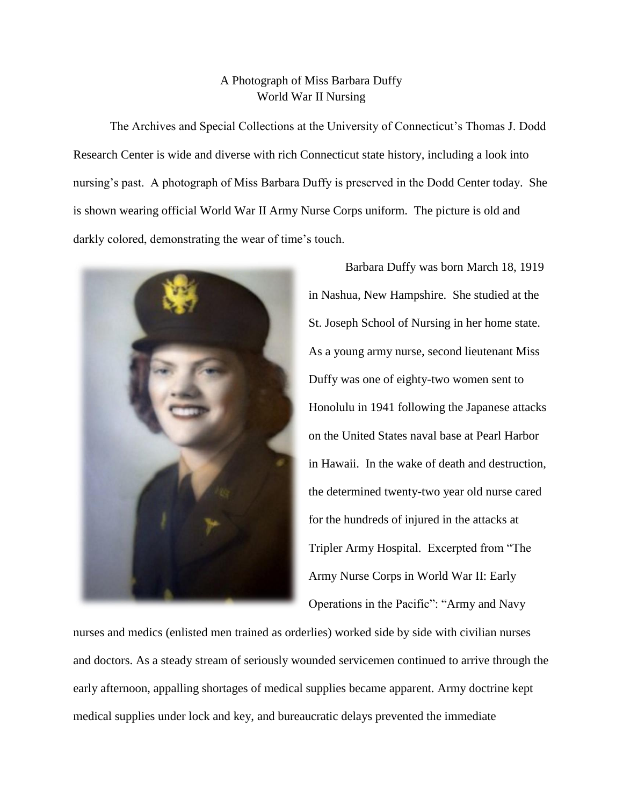## A Photograph of Miss Barbara Duffy World War II Nursing

The Archives and Special Collections at the University of Connecticut's Thomas J. Dodd Research Center is wide and diverse with rich Connecticut state history, including a look into nursing's past. A photograph of Miss Barbara Duffy is preserved in the Dodd Center today. She is shown wearing official World War II Army Nurse Corps uniform. The picture is old and darkly colored, demonstrating the wear of time's touch.



Barbara Duffy was born March 18, 1919 in Nashua, New Hampshire. She studied at the St. Joseph School of Nursing in her home state. As a young army nurse, second lieutenant Miss Duffy was one of eighty-two women sent to Honolulu in 1941 following the Japanese attacks on the United States naval base at Pearl Harbor in Hawaii. In the wake of death and destruction, the determined twenty-two year old nurse cared for the hundreds of injured in the attacks at Tripler Army Hospital. Excerpted from "The Army Nurse Corps in World War II: Early Operations in the Pacific": "Army and Navy

nurses and medics (enlisted men trained as orderlies) worked side by side with civilian nurses and doctors. As a steady stream of seriously wounded servicemen continued to arrive through the early afternoon, appalling shortages of medical supplies became apparent. Army doctrine kept medical supplies under lock and key, and bureaucratic delays prevented the immediate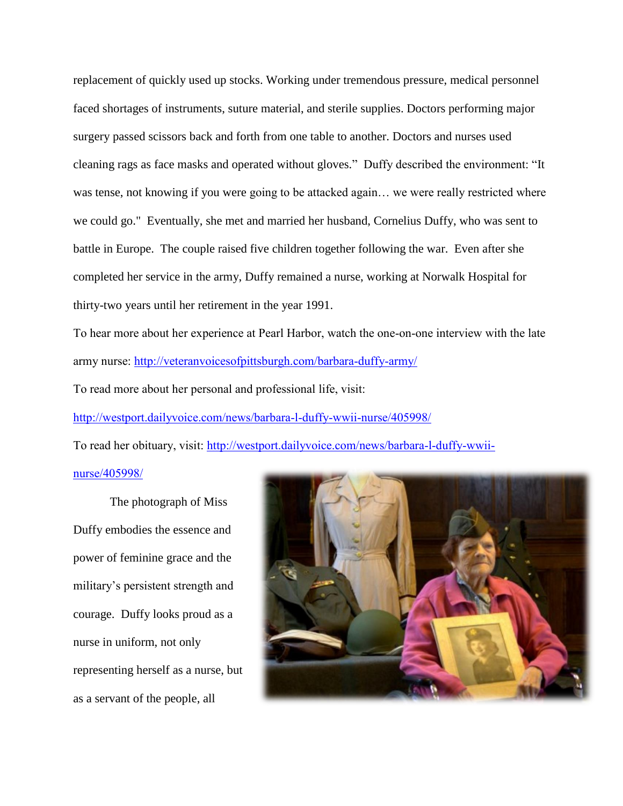replacement of quickly used up stocks. Working under tremendous pressure, medical personnel faced shortages of instruments, suture material, and sterile supplies. Doctors performing major surgery passed scissors back and forth from one table to another. Doctors and nurses used cleaning rags as face masks and operated without gloves." Duffy described the environment: "It was tense, not knowing if you were going to be attacked again… we were really restricted where we could go." Eventually, she met and married her husband, Cornelius Duffy, who was sent to battle in Europe. The couple raised five children together following the war. Even after she completed her service in the army, Duffy remained a nurse, working at Norwalk Hospital for thirty-two years until her retirement in the year 1991.

To hear more about her experience at Pearl Harbor, watch the one-on-one interview with the late army nurse:<http://veteranvoicesofpittsburgh.com/barbara-duffy-army/>

To read more about her personal and professional life, visit:

<http://westport.dailyvoice.com/news/barbara-l-duffy-wwii-nurse/405998/>

To read her obituary, visit: [http://westport.dailyvoice.com/news/barbara-l-duffy-wwii-](http://westport.dailyvoice.com/news/barbara-l-duffy-wwii-nurse/405998/)

## [nurse/405998/](http://westport.dailyvoice.com/news/barbara-l-duffy-wwii-nurse/405998/)

The photograph of Miss Duffy embodies the essence and power of feminine grace and the military's persistent strength and courage. Duffy looks proud as a nurse in uniform, not only representing herself as a nurse, but as a servant of the people, all

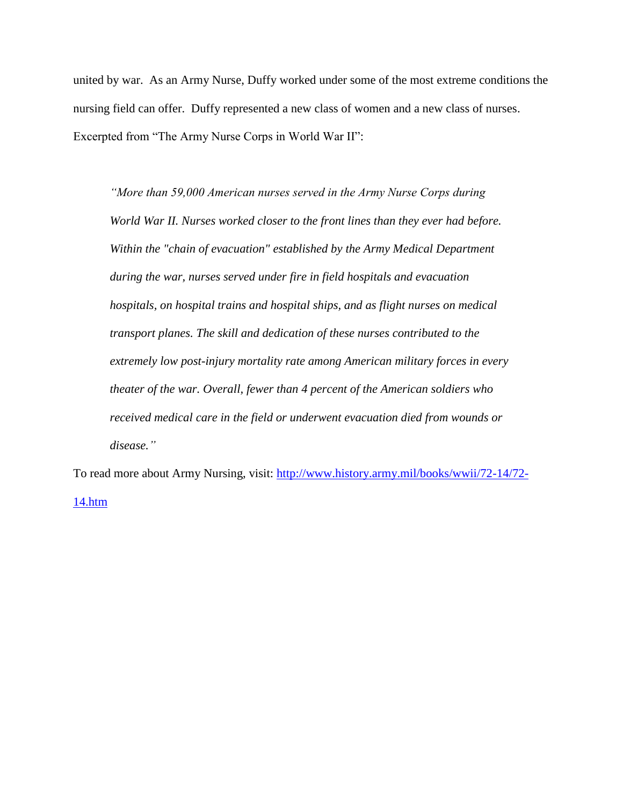united by war. As an Army Nurse, Duffy worked under some of the most extreme conditions the nursing field can offer. Duffy represented a new class of women and a new class of nurses. Excerpted from "The Army Nurse Corps in World War II":

*"More than 59,000 American nurses served in the Army Nurse Corps during World War II. Nurses worked closer to the front lines than they ever had before. Within the "chain of evacuation" established by the Army Medical Department during the war, nurses served under fire in field hospitals and evacuation hospitals, on hospital trains and hospital ships, and as flight nurses on medical transport planes. The skill and dedication of these nurses contributed to the extremely low post-injury mortality rate among American military forces in every theater of the war. Overall, fewer than 4 percent of the American soldiers who received medical care in the field or underwent evacuation died from wounds or disease."*

To read more about Army Nursing, visit: [http://www.history.army.mil/books/wwii/72-14/72-](http://www.history.army.mil/books/wwii/72-14/72-14.htm) [14.htm](http://www.history.army.mil/books/wwii/72-14/72-14.htm)